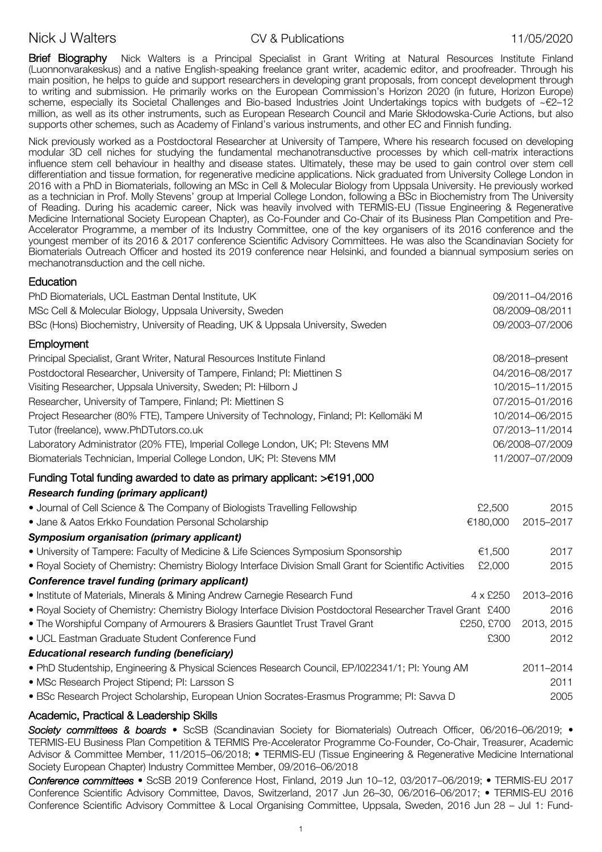# Nick J Walters **CV & Publications** CV & Publications 11/05/2020

Brief Biography Nick Walters is a Principal Specialist in Grant Writing at Natural Resources Institute Finland (Luonnonvarakeskus) and a native English-speaking freelance grant writer, academic editor, and proofreader. Through his main position, he helps to guide and support researchers in developing grant proposals, from concept development through to writing and submission. He primarily works on the European Commission's Horizon 2020 (in future, Horizon Europe) scheme, especially its Societal Challenges and Bio-based Industries Joint Undertakings topics with budgets of ~€2-12 million, as well as its other instruments, such as European Research Council and Marie Skłodowska-Curie Actions, but also supports other schemes, such as Academy of Finland's various instruments, and other EC and Finnish funding.

Nick previously worked as a Postdoctoral Researcher at University of Tampere, Where his research focused on developing modular 3D cell niches for studying the fundamental mechanotransductive processes by which cell-matrix interactions influence stem cell behaviour in healthy and disease states. Ultimately, these may be used to gain control over stem cell differentiation and tissue formation, for regenerative medicine applications. Nick graduated from University College London in 2016 with a PhD in Biomaterials, following an MSc in Cell & Molecular Biology from Uppsala University. He previously worked as a technician in Prof. Molly Stevens' group at Imperial College London, following a BSc in Biochemistry from The University of Reading. During his academic career, Nick was heavily involved with TERMIS-EU (Tissue Engineering & Regenerative Medicine International Society European Chapter), as Co-Founder and Co-Chair of its Business Plan Competition and Pre-Accelerator Programme, a member of its Industry Committee, one of the key organisers of its 2016 conference and the youngest member of its 2016 & 2017 conference Scientific Advisory Committees. He was also the Scandinavian Society for Biomaterials Outreach Officer and hosted its 2019 conference near Helsinki, and founded a biannual symposium series on mechanotransduction and the cell niche.

## Education

| PhD Biomaterials, UCL Eastman Dental Institute, UK                                                           |                 | 09/2011-04/2016 |
|--------------------------------------------------------------------------------------------------------------|-----------------|-----------------|
| MSc Cell & Molecular Biology, Uppsala University, Sweden                                                     |                 | 08/2009-08/2011 |
| BSc (Hons) Biochemistry, University of Reading, UK & Uppsala University, Sweden                              |                 | 09/2003-07/2006 |
| Employment                                                                                                   |                 |                 |
| Principal Specialist, Grant Writer, Natural Resources Institute Finland                                      | 08/2018-present |                 |
| Postdoctoral Researcher, University of Tampere, Finland; PI: Miettinen S                                     | 04/2016-08/2017 |                 |
| Visiting Researcher, Uppsala University, Sweden; PI: Hilborn J                                               |                 | 10/2015-11/2015 |
| Researcher, University of Tampere, Finland; PI: Miettinen S                                                  |                 | 07/2015-01/2016 |
| Project Researcher (80% FTE), Tampere University of Technology, Finland; PI: Kellomäki M                     |                 | 10/2014-06/2015 |
| Tutor (freelance), www.PhDTutors.co.uk                                                                       |                 | 07/2013-11/2014 |
| Laboratory Administrator (20% FTE), Imperial College London, UK; PI: Stevens MM                              |                 | 06/2008-07/2009 |
| Biomaterials Technician, Imperial College London, UK; PI: Stevens MM                                         |                 | 11/2007-07/2009 |
| Funding Total funding awarded to date as primary applicant: $>\epsilon$ 191,000                              |                 |                 |
| <b>Research funding (primary applicant)</b>                                                                  |                 |                 |
| • Journal of Cell Science & The Company of Biologists Travelling Fellowship                                  | £2,500          | 2015            |
| • Jane & Aatos Erkko Foundation Personal Scholarship                                                         | €180,000        | 2015-2017       |
| Symposium organisation (primary applicant)                                                                   |                 |                 |
| • University of Tampere: Faculty of Medicine & Life Sciences Symposium Sponsorship                           | €1,500          | 2017            |
| • Royal Society of Chemistry: Chemistry Biology Interface Division Small Grant for Scientific Activities     | £2,000          | 2015            |
| Conference travel funding (primary applicant)                                                                |                 |                 |
| • Institute of Materials, Minerals & Mining Andrew Carnegie Research Fund                                    | 4 x £250        | 2013-2016       |
| . Royal Society of Chemistry: Chemistry Biology Interface Division Postdoctoral Researcher Travel Grant £400 |                 | 2016            |
| • The Worshipful Company of Armourers & Brasiers Gauntlet Trust Travel Grant                                 | £250, £700      | 2013, 2015      |
| · UCL Eastman Graduate Student Conference Fund                                                               | £300            | 2012            |
| <b>Educational research funding (beneficiary)</b>                                                            |                 |                 |
| . PhD Studentship, Engineering & Physical Sciences Research Council, EP/l022341/1; Pl: Young AM              |                 | 2011-2014       |
| · MSc Research Project Stipend; PI: Larsson S                                                                |                 | 2011            |
| · BSc Research Project Scholarship, European Union Socrates-Erasmus Programme; PI: Savva D                   |                 | 2005            |
|                                                                                                              |                 |                 |

## Academic, Practical & Leadership Skills

*Society committees & boards* • ScSB (Scandinavian Society for Biomaterials) Outreach Officer, 06/2016–06/2019; • TERMIS-EU Business Plan Competition & TERMIS Pre-Accelerator Programme Co-Founder, Co-Chair, Treasurer, Academic Advisor & Committee Member, 11/2015–06/2018; • TERMIS-EU (Tissue Engineering & Regenerative Medicine International Society European Chapter) Industry Committee Member, 09/2016–06/2018

*Conference committees* • ScSB 2019 Conference Host, Finland, 2019 Jun 10–12, 03/2017–06/2019; • TERMIS-EU 2017 Conference Scientific Advisory Committee, Davos, Switzerland, 2017 Jun 26–30, 06/2016–06/2017; • TERMIS-EU 2016 Conference Scientific Advisory Committee & Local Organising Committee, Uppsala, Sweden, 2016 Jun 28 – Jul 1: Fund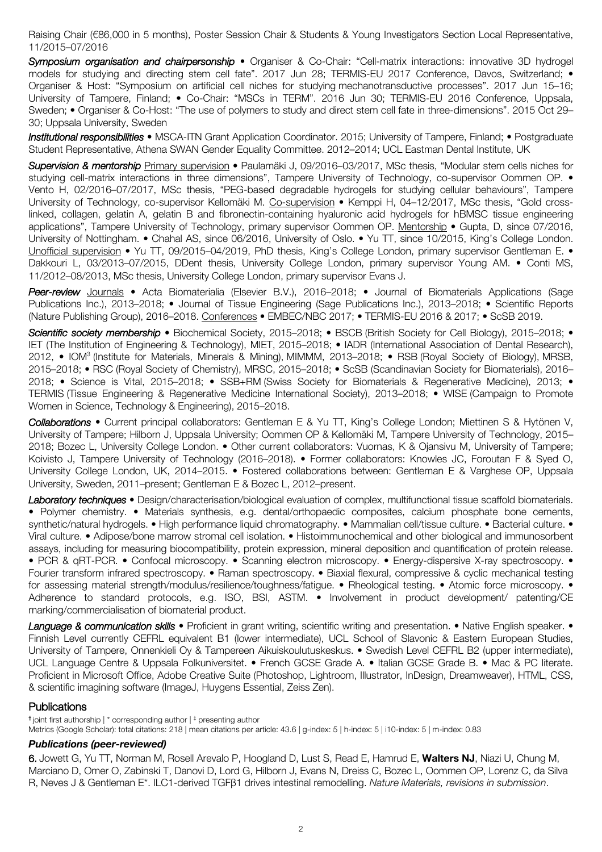Raising Chair (€86,000 in 5 months), Poster Session Chair & Students & Young Investigators Section Local Representative, 11/2015–07/2016

*Symposium organisation and chairpersonship* • Organiser & Co-Chair: "Cell-matrix interactions: innovative 3D hydrogel models for studving and directing stem cell fate". 2017 Jun 28; TERMIS-EU 2017 Conference, Davos, Switzerland; • Organiser & Host: "Symposium on artificial cell niches for studying mechanotransductive processes". 2017 Jun 15–16; University of Tampere, Finland; • Co-Chair: "MSCs in TERM". 2016 Jun 30; TERMIS-EU 2016 Conference, Uppsala, Sweden; • Organiser & Co-Host: "The use of polymers to study and direct stem cell fate in three-dimensions". 2015 Oct 29– 30; Uppsala University, Sweden

*Institutional responsibilities* • MSCA-ITN Grant Application Coordinator. 2015; University of Tampere, Finland; • Postgraduate Student Representative, Athena SWAN Gender Equality Committee. 2012–2014; UCL Eastman Dental Institute, UK

*Supervision & mentorship* Primary supervision • Paulamäki J, 09/2016–03/2017, MSc thesis, "Modular stem cells niches for studying cell-matrix interactions in three dimensions", Tampere University of Technology, co-supervisor Oommen OP. • Vento H, 02/2016–07/2017, MSc thesis, "PEG-based degradable hydrogels for studying cellular behaviours", Tampere University of Technology, co-supervisor Kellomäki M. Co-supervision • Kemppi H, 04-12/2017, MSc thesis, "Gold crosslinked, collagen, gelatin A, gelatin B and fibronectin-containing hyaluronic acid hydrogels for hBMSC tissue engineering applications", Tampere University of Technology, primary supervisor Oommen OP. Mentorship • Gupta, D, since 07/2016, University of Nottingham. • Chahal AS, since 06/2016, University of Oslo. • Yu TT, since 10/2015, King's College London. Unofficial supervision • Yu TT, 09/2015-04/2019, PhD thesis, King's College London, primary supervisor Gentleman E. • Dakkouri L, 03/2013–07/2015, DDent thesis, University College London, primary supervisor Young AM. • Conti MS, 11/2012–08/2013, MSc thesis, University College London, primary supervisor Evans J.

*Peer-review* Journals • Acta Biomaterialia (Elsevier B.V.), 2016–2018; • Journal of Biomaterials Applications (Sage Publications Inc.), 2013–2018; • Journal of Tissue Engineering (Sage Publications Inc.), 2013–2018; • Scientific Reports (Nature Publishing Group), 2016–2018. Conferences • EMBEC/NBC 2017; • TERMIS-EU 2016 & 2017; • ScSB 2019.

*Scientific society membership* • Biochemical Society, 2015–2018; • BSCB (British Society for Cell Biology), 2015–2018; • IET (The Institution of Engineering & Technology), MIET, 2015–2018; • IADR (International Association of Dental Research), 2012, • IOM3 (Institute for Materials, Minerals & Mining), MIMMM, 2013–2018; • RSB (Royal Society of Biology), MRSB, 2015–2018; • RSC (Royal Society of Chemistry), MRSC, 2015–2018; • ScSB (Scandinavian Society for Biomaterials), 2016– 2018; • Science is Vital, 2015–2018; • SSB+RM (Swiss Society for Biomaterials & Regenerative Medicine), 2013; • TERMIS (Tissue Engineering & Regenerative Medicine International Society), 2013–2018; • WISE (Campaign to Promote Women in Science, Technology & Engineering), 2015–2018.

*Collaborations* • Current principal collaborators: Gentleman E & Yu TT, King's College London; Miettinen S & Hytönen V, University of Tampere; Hilborn J, Uppsala University; Oommen OP & Kellomäki M, Tampere University of Technology, 2015– 2018; Bozec L, University College London. • Other current collaborators: Vuornas, K & Ojansivu M, University of Tampere; Koivisto J, Tampere University of Technology (2016–2018). • Former collaborators: Knowles JC, Foroutan F & Syed O, University College London, UK, 2014–2015. • Fostered collaborations between: Gentleman E & Varghese OP, Uppsala University, Sweden, 2011–present; Gentleman E & Bozec L, 2012–present.

*Laboratory techniques* • Design/characterisation/biological evaluation of complex, multifunctional tissue scaffold biomaterials. • Polymer chemistry. • Materials synthesis, e.g. dental/orthopaedic composites, calcium phosphate bone cements, synthetic/natural hydrogels. • High performance liquid chromatography. • Mammalian cell/tissue culture. • Bacterial culture. • Viral culture. • Adipose/bone marrow stromal cell isolation. • Histoimmunochemical and other biological and immunosorbent assays, including for measuring biocompatibility, protein expression, mineral deposition and quantification of protein release. • PCR & qRT-PCR. • Confocal microscopy. • Scanning electron microscopy. • Energy-dispersive X-ray spectroscopy. • Fourier transform infrared spectroscopy. • Raman spectroscopy. • Biaxial flexural, compressive & cyclic mechanical testing for assessing material strength/modulus/resilience/toughness/fatigue. • Rheological testing. • Atomic force microscopy. • Adherence to standard protocols, e.g. ISO, BSI, ASTM. • Involvement in product development/ patenting/CE marking/commercialisation of biomaterial product.

Lanquage & communication skills • Proficient in grant writing, scientific writing and presentation. • Native English speaker. • Finnish Level currently CEFRL equivalent B1 (lower intermediate), UCL School of Slavonic & Eastern European Studies, University of Tampere, Onnenkieli Oy & Tampereen Aikuiskoulutuskeskus. • Swedish Level CEFRL B2 (upper intermediate), UCL Language Centre & Uppsala Folkuniversitet. • French GCSE Grade A. • Italian GCSE Grade B. • Mac & PC literate. Proficient in Microsoft Office, Adobe Creative Suite (Photoshop, Lightroom, Illustrator, InDesign, Dreamweaver), HTML, CSS, & scientific imagining software (ImageJ, Huygens Essential, Zeiss Zen).

## **Publications**

**†** joint first authorship | \* corresponding author | ‡ presenting author

Metrics (Google Scholar): total citations: 218 | mean citations per article: 43.6 | g-index: 5 | h-index: 5 | i10-index: 5 | m-index: 0.83

#### *Publications (peer-reviewed)*

6. Jowett G, Yu TT, Norman M, Rosell Arevalo P, Hoogland D, Lust S, Read E, Hamrud E, **Walters NJ**, Niazi U, Chung M, Marciano D, Omer O, Zabinski T, Danovi D, Lord G, Hilborn J, Evans N, Dreiss C, Bozec L, Oommen OP, Lorenz C, da Silva R, Neves J & Gentleman E\*. ILC1-derived TGFβ1 drives intestinal remodelling. *Nature Materials, revisions in submission*.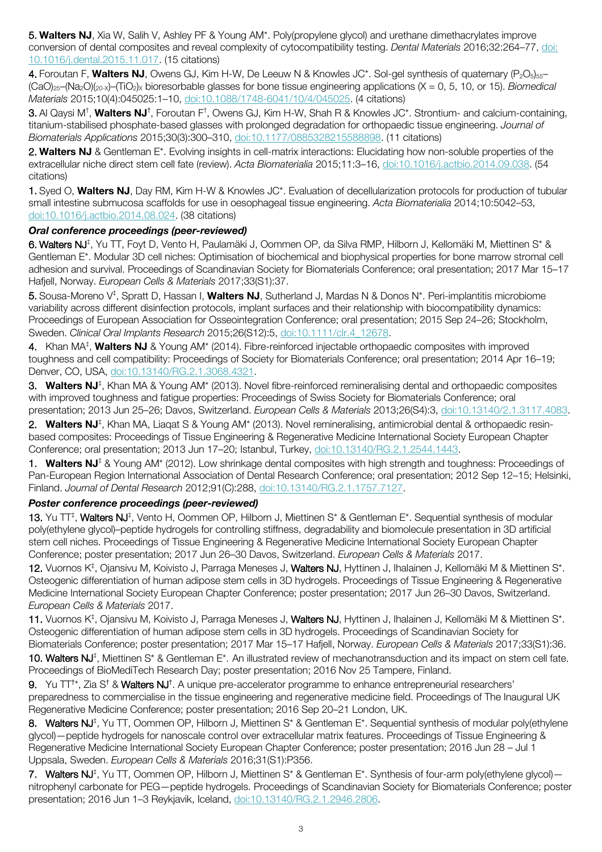5. **Walters NJ**, Xia W, Salih V, Ashley PF & Young AM\*. Poly(propylene glycol) and urethane dimethacrylates improve conversion of dental composites and reveal complexity of cytocompatibility testing. *Dental Materials* 2016;32:264–77, doi: 10.1016/j.dental.2015.11.017. (15 citations)

4. Foroutan F, **Walters NJ**, Owens GJ, Kim H-W, De Leeuw N & Knowles JC\*. Sol-gel synthesis of quaternary (P<sub>2</sub>O<sub>5</sub>)<sub>55</sub>– (CaO)25–(Na2O)(20-X)–(TiO2)X bioresorbable glasses for bone tissue engineering applications (X = 0, 5, 10, or 15). *Biomedical Materials* 2015;10(4):045025:1–10, doi:10.1088/1748-6041/10/4/045025. (4 citations)

**3.** Al Qaysi M<sup>†</sup>, **Walters NJ**†, Foroutan F<sup>†</sup>, Owens GJ, Kim H-W, Shah R & Knowles JC\*. Strontium- and calcium-containing, titanium-stabilised phosphate-based glasses with prolonged degradation for orthopaedic tissue engineering. *Journal of Biomaterials Applications* 2015;30(3):300–310, doi:10.1177/0885328215588898. (11 citations)

2. **Walters NJ** & Gentleman E\*. Evolving insights in cell-matrix interactions: Elucidating how non-soluble properties of the extracellular niche direct stem cell fate (review). *Acta Biomaterialia* 2015;11:3–16, doi:10.1016/j.actbio.2014.09.038. (54 citations)

1. Syed O, **Walters NJ**, Day RM, Kim H-W & Knowles JC\*. Evaluation of decellularization protocols for production of tubular small intestine submucosa scaffolds for use in oesophageal tissue engineering. *Acta Biomaterialia* 2014;10:5042–53, doi:10.1016/j.actbio.2014.08.024. (38 citations)

## *Oral conference proceedings (peer-reviewed)*

6. Walters NJ<sup>‡</sup>, Yu TT, Foyt D, Vento H, Paulamäki J, Oommen OP, da Silva RMP, Hilborn J, Kellomäki M, Miettinen S\* & Gentleman E\*. Modular 3D cell niches: Optimisation of biochemical and biophysical properties for bone marrow stromal cell adhesion and survival. Proceedings of Scandinavian Society for Biomaterials Conference; oral presentation; 2017 Mar 15–17 Hafjell, Norway. *European Cells & Materials* 2017;33(S1):37.

5. Sousa-Moreno V‡ , Spratt D, Hassan I, **Walters NJ**, Sutherland J, Mardas N & Donos N\*. Peri-implantitis microbiome variability across different disinfection protocols, implant surfaces and their relationship with biocompatibility dynamics: Proceedings of European Association for Osseointegration Conference; oral presentation; 2015 Sep 24–26; Stockholm, Sweden. *Clinical Oral Implants Research* 2015;26(S12):5, doi:10.1111/clr.4\_12678.

4. Khan MA<sup>‡</sup>, **Walters NJ** & Young AM\* (2014). Fibre-reinforced injectable orthopaedic composites with improved toughness and cell compatibility: Proceedings of Society for Biomaterials Conference; oral presentation; 2014 Apr 16–19; Denver, CO, USA, doi:10.13140/RG.2.1.3068.4321.

3. **Walters NJ**‡ , Khan MA & Young AM\* (2013). Novel fibre-reinforced remineralising dental and orthopaedic composites with improved toughness and fatigue properties: Proceedings of Swiss Society for Biomaterials Conference; oral presentation; 2013 Jun 25–26; Davos, Switzerland. *European Cells & Materials* 2013;26(S4):3, doi:10.13140/2.1.3117.4083.

2. **Walters NJ**‡ , Khan MA, Liaqat S & Young AM\* (2013). Novel remineralising, antimicrobial dental & orthopaedic resinbased composites: Proceedings of Tissue Engineering & Regenerative Medicine International Society European Chapter Conference; oral presentation; 2013 Jun 17–20; Istanbul, Turkey, doi:10.13140/RG.2.1.2544.1443.

1. **Walters NJ**‡ & Young AM\* (2012). Low shrinkage dental composites with high strength and toughness: Proceedings of Pan-European Region International Association of Dental Research Conference; oral presentation; 2012 Sep 12–15; Helsinki, Finland. *Journal of Dental Research* 2012;91(C):288, doi:10.13140/RG.2.1.1757.7127.

## *Poster conference proceedings (peer-reviewed)*

13. Yu TT<sup>‡</sup>, Walters NJ<sup>‡</sup>, Vento H, Oommen OP, Hilborn J, Miettinen S<sup>\*</sup> & Gentleman E<sup>\*</sup>. Sequential synthesis of modular poly(ethylene glycol)–peptide hydrogels for controlling stiffness, degradability and biomolecule presentation in 3D artificial stem cell niches. Proceedings of Tissue Engineering & Regenerative Medicine International Society European Chapter Conference; poster presentation; 2017 Jun 26–30 Davos, Switzerland. *European Cells & Materials* 2017.

12. Vuornos K<sup>‡</sup>, Ojansivu M, Koivisto J, Parraga Meneses J, Walters NJ, Hyttinen J, Ihalainen J, Kellomäki M & Miettinen S\*. Osteogenic differentiation of human adipose stem cells in 3D hydrogels. Proceedings of Tissue Engineering & Regenerative Medicine International Society European Chapter Conference; poster presentation; 2017 Jun 26–30 Davos, Switzerland. *European Cells & Materials* 2017.

11. Vuornos K<sup>‡</sup>, Ojansivu M, Koivisto J, Parraga Meneses J, Walters NJ, Hyttinen J, Ihalainen J, Kellomäki M & Miettinen S\*. Osteogenic differentiation of human adipose stem cells in 3D hydrogels. Proceedings of Scandinavian Society for

Biomaterials Conference; poster presentation; 2017 Mar 15–17 Hafjell, Norway. *European Cells & Materials* 2017;33(S1):36. 10. Walters NJ<sup>‡</sup>, Miettinen S<sup>\*</sup> & Gentleman E<sup>\*</sup>. An illustrated review of mechanotransduction and its impact on stem cell fate. Proceedings of BioMediTech Research Day; poster presentation; 2016 Nov 25 Tampere, Finland.

9. Yu TT<sup>+\*</sup>, Zia S<sup>†</sup> & Walters NJ<sup>†</sup>. A unique pre-accelerator programme to enhance entrepreneurial researchers' preparedness to commercialise in the tissue engineering and regenerative medicine field. Proceedings of The Inaugural UK Regenerative Medicine Conference; poster presentation; 2016 Sep 20–21 London, UK.

8. Walters NJ<sup>‡</sup>, Yu TT, Oommen OP, Hilborn J, Miettinen S\* & Gentleman E\*. Sequential synthesis of modular poly(ethylene glycol)—peptide hydrogels for nanoscale control over extracellular matrix features. Proceedings of Tissue Engineering & Regenerative Medicine International Society European Chapter Conference; poster presentation; 2016 Jun 28 – Jul 1 Uppsala, Sweden. *European Cells & Materials* 2016;31(S1):P356.

7. Walters NJ<sup>‡</sup>, Yu TT, Oommen OP, Hilborn J, Miettinen S<sup>\*</sup> & Gentleman E<sup>\*</sup>. Synthesis of four-arm poly(ethylene glycol)– nitrophenyl carbonate for PEG—peptide hydrogels. Proceedings of Scandinavian Society for Biomaterials Conference; poster presentation; 2016 Jun 1–3 Reykjavik, Iceland, doi:10.13140/RG.2.1.2946.2806.